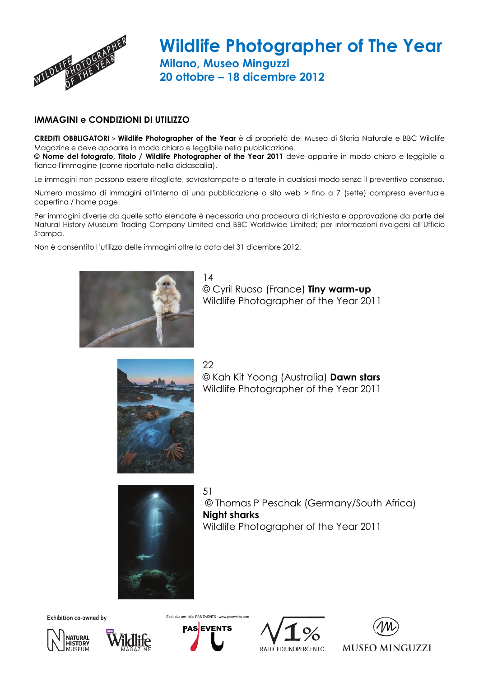

## **Wildlife Photographer of The Year Milano, Museo Minguzzi 20 ottobre – 18 dicembre 2012**

## **IMMAGINI e CONDIZIONI DI UTILIZZO**

**CREDITI OBBLIGATORI** > **Wildlife Photographer of the Year** è di proprietà del Museo di Storia Naturale e BBC Wildlife Magazine e deve apparire in modo chiaro e leggibile nella pubblicazione. **© Nome del fotografo, Titolo / Wildlife Photographer of the Year 2011** deve apparire in modo chiaro e leggibile a fianco l'immagine (come riportato nella didascalia).

Le immagini non possono essere ritagliate, sovrastampate o alterate in qualsiasi modo senza il preventivo consenso.

Numero massimo di immagini all'interno di una pubblicazione o sito web > fino a 7 (sette) compresa eventuale copertina / home page.

Per immagini diverse da quelle sotto elencate è necessaria una procedura di richiesta e approvazione da parte del Natural History Museum Trading Company Limited and BBC Worldwide Limited; per informazioni rivolgersi all'Ufficio Stampa.

Non è consentito l'utilizzo delle immagini oltre la data del 31 dicembre 2012.



14 © Cyril Ruoso (France) **Tiny warm-up** Wildlife Photographer of the Year 2011

22 © Kah Kit Yoong (Australia) **Dawn stars** Wildlife Photographer of the Year 2011



51 © Thomas P Peschak (Germany/South Africa) **Night sharks** Wildlife Photographer of the Year 2011

Exhibition co-owned by